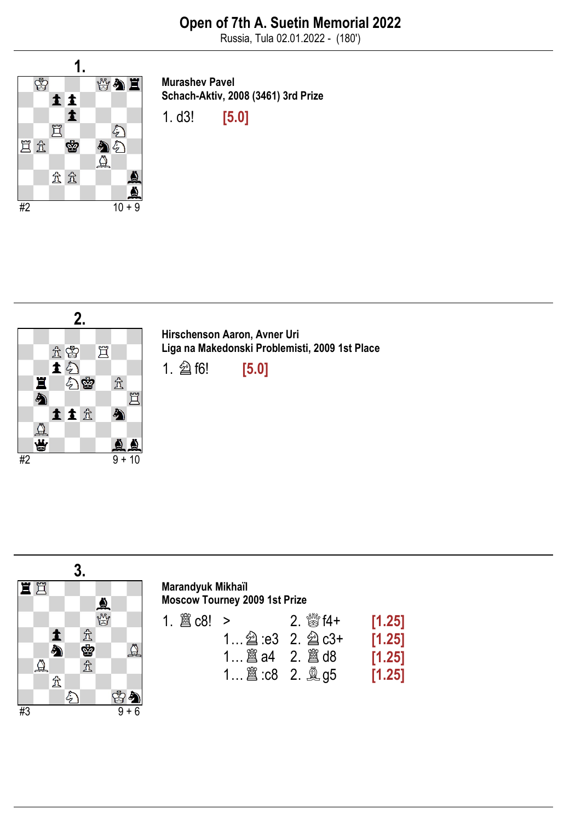

Murashev Pavel Schach-Aktiv, 2008 (3461) 3rd Prize

1. d3! [5.0]





| Marandyuk Mikhaïl                    |
|--------------------------------------|
| <b>Moscow Tourney 2009 1st Prize</b> |

| 1. $\hat{\mathbb{E}}$ c8! > |                                  | 2. $\frac{300}{25}$ f4+ | [1.25] |
|-----------------------------|----------------------------------|-------------------------|--------|
|                             | 1 $\hat{2}$ :e3 2. $\hat{2}$ c3+ |                         | [1.25] |
|                             |                                  |                         | [1.25] |
|                             | 1 $\hat{a}$ : c8 2. $\hat{a}$ g5 |                         | [1.25] |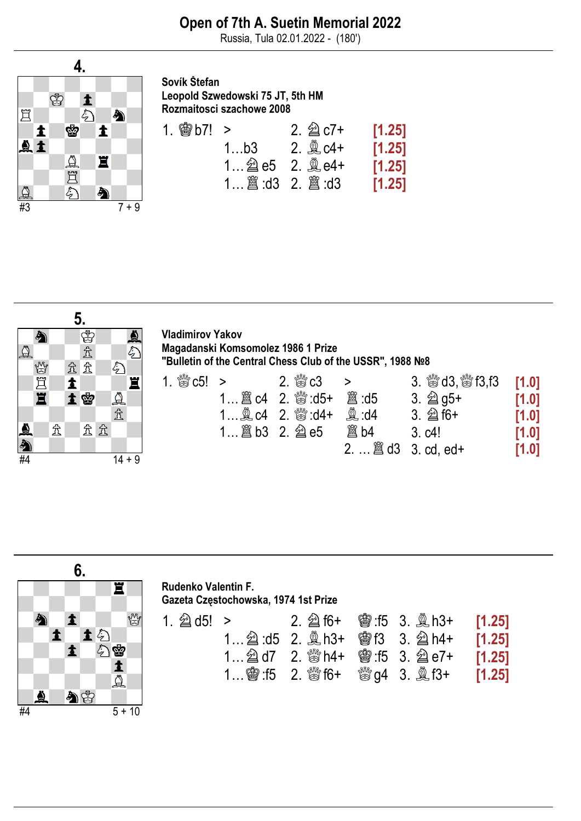

Sovík Štefan Leopold Szwedowski 75 JT, 5th HM Rozmaitosci szachowe 2008

| 1. $\circledast$ b7! > |                                             | 2. $\hat{\otimes}$ c7+ | [1.25] |
|------------------------|---------------------------------------------|------------------------|--------|
|                        | 1b3 2. $2 \in \mathbb{C}$ c4+               |                        | [1.25] |
|                        | 1 $\hat{\otimes}$ e5 2. $\hat{\otimes}$ e4+ |                        | [1.25] |
|                        |                                             |                        | [1.25] |



Vladimirov Yakov Magadanski Komsomolez 1986 1 Prize "Bulletin of the Central Chess Club of the USSR", 1988 №8

|                    | 1. $\frac{d^{8/6}}{68}$ c5! > 2. $\frac{d^{8/6}}{68}$ c3 >                                      |                                     | 3. $\frac{300}{100}$ d3, $\frac{600}{100}$ f3, f3 [1.0] |         |
|--------------------|-------------------------------------------------------------------------------------------------|-------------------------------------|---------------------------------------------------------|---------|
|                    |                                                                                                 |                                     | 3. $\hat{\otimes}$ q5+                                  | [1.0]   |
|                    | 1 $\triangleq$ c4 2. $\stackrel{\text{def}}{\approx}$ :d4+ $\stackrel{\text{def}}{\approx}$ :d4 |                                     | 3. $\hat{\otimes}$ f6+                                  | $[1.0]$ |
| $1$ $8b3$ 2. $2e5$ |                                                                                                 |                                     | 3. c4!                                                  | [1.0]   |
|                    |                                                                                                 | 2. $\ldots$ $\hat{a}$ d3 3. cd, ed+ |                                                         | [1.0]   |

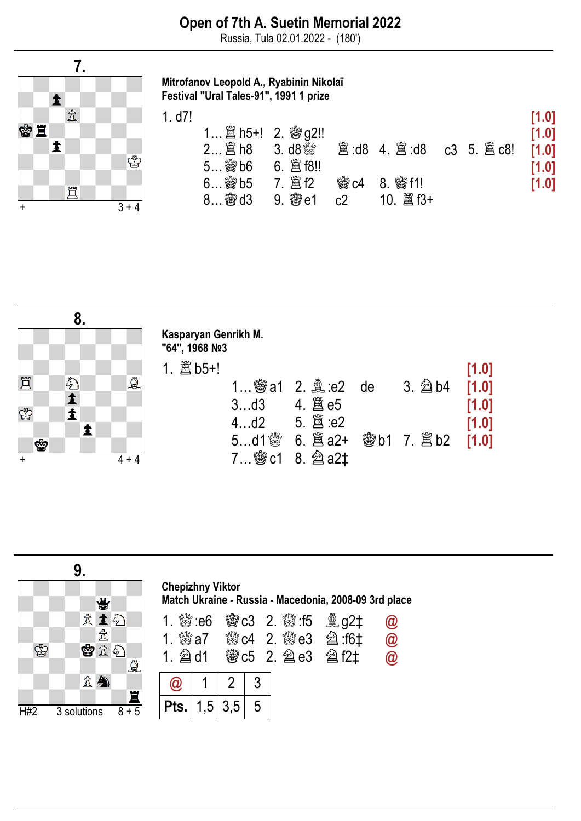

Mitrofanov Leopold A., Ryabinin Nikolaï Festival "Ural Tales-91", 1991 1 prize

| 1. d7! |                                |            |                |                                 |  | [1.0] |
|--------|--------------------------------|------------|----------------|---------------------------------|--|-------|
|        | 1 2. 窗 h5+! 2. 窗 g2!!          |            |                |                                 |  | [1.0] |
|        | $2$ $\hat{\Xi}$ h <sub>8</sub> | 3. d $8\%$ |                | <b>2</b> d8 4. 2 d8 c3 5. 2 c8! |  | [1.0] |
|        | $5$ @ $b6$                     |            |                |                                 |  | [1.0] |
|        | $6$ \$8 b5                     |            |                | <b>曾c4 8. 窗f1!</b>              |  | [1.0] |
|        | $8$ @ d3                       |            | c <sub>2</sub> |                                 |  |       |